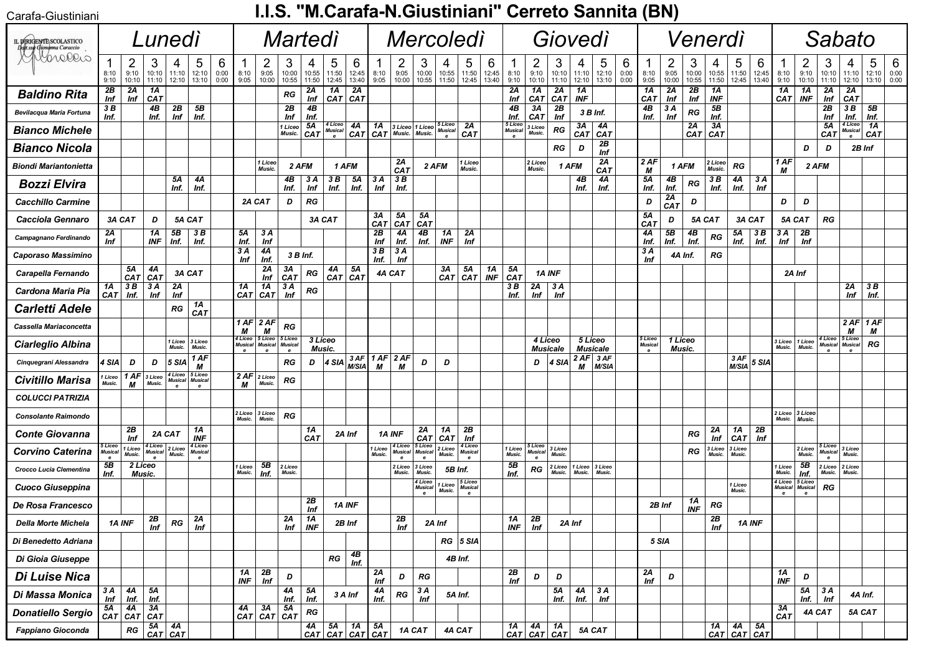| Carafa-Giustiniani |  |  |
|--------------------|--|--|
|                    |  |  |

## I.I.S. "M.Carafa-N.Giustiniani" Cerreto Sannita (BN)

| ,arara-viusurilari                                    |                    |                       |                                                                   |                                |                                |                   |                                                                                |                                |                                |                     |                                                                                                                  |                     |                   |                                 |                                    |                        |                                           |                     |                        |                                                                        |                       |                         |                       |                   |                           |                    |                     |                        |                       |                     |                                |                                                                    |                                |                                |                                          |  |  |  |  |  |  |
|-------------------------------------------------------|--------------------|-----------------------|-------------------------------------------------------------------|--------------------------------|--------------------------------|-------------------|--------------------------------------------------------------------------------|--------------------------------|--------------------------------|---------------------|------------------------------------------------------------------------------------------------------------------|---------------------|-------------------|---------------------------------|------------------------------------|------------------------|-------------------------------------------|---------------------|------------------------|------------------------------------------------------------------------|-----------------------|-------------------------|-----------------------|-------------------|---------------------------|--------------------|---------------------|------------------------|-----------------------|---------------------|--------------------------------|--------------------------------------------------------------------|--------------------------------|--------------------------------|------------------------------------------|--|--|--|--|--|--|
| IL DIRIGENTE SCOLASTICO<br>Delt.sse Giovanna Caraccio |                    |                       |                                                                   | Lunedì                         |                                |                   |                                                                                |                                |                                | Martedì             |                                                                                                                  |                     | Mercoledi         |                                 |                                    |                        |                                           |                     |                        | Giovedì                                                                |                       |                         |                       |                   |                           |                    | Venerdi             |                        |                       |                     |                                |                                                                    |                                | Sabato                         |                                          |  |  |  |  |  |  |
|                                                       | 8:10<br>9:10       | 2<br>9:10<br>10:10    | 3<br>10:10<br>11:10                                               | 4<br>11:10<br>12:10            | 5<br>12:10<br>13:10            | 6<br>0:00<br>0:00 | 1<br>8:10<br>9:05                                                              | 2<br>9:05<br>10:00             | 3<br>10:00<br>10:55            | 4<br>10:55<br>11:50 | 5<br>11:50<br>12:45                                                                                              | 6<br>12:45<br>13:40 | 8:10<br>9:05      | $\overline{2}$<br>9:05<br>10:00 | 3<br>10:00<br>10:55                | 10:55<br>11:50         | 5<br>11:50<br>12:45                       | 6<br>12:45<br>13:40 | 8:10<br>9:10           | 2<br>9:10<br>10:10                                                     | 3<br>10:10<br>11:10   | 4<br>11:10<br>12:10     | 5<br>12:10<br>13:10   | 6<br>0:00<br>0:00 | 8:10<br>9:05              | 2<br>9:05<br>10:00 | 3<br>10:00<br>10:55 | 4<br>10:55<br>11:50    | 5<br>11:50<br>12:45   | 6<br>12:45<br>13:40 | 1<br>8:10<br>9:10              | $\overline{c}$<br>9:10<br>10:10                                    | 3<br>10:10<br>11:10            | 4<br>11:10<br>12:10            | 6<br>5<br>0:00<br>12:10<br>13:10<br>0:00 |  |  |  |  |  |  |
| <b>Baldino Rita</b>                                   | 2B<br>Inf          | 2A<br>Inf             | 1A<br>CA <sub>7</sub>                                             |                                |                                |                   |                                                                                |                                | RG                             | 2A<br>Inf           | 1A<br>$ $ CAT $ $ CAT                                                                                            | 2A                  |                   |                                 |                                    |                        |                                           |                     | 2Α<br>Inf              | 1A<br><b>CAT</b>                                                       | 2A<br>CA <sub>T</sub> | 1A<br><b>INF</b>        |                       |                   | 1A<br><b>CAT</b>          | 2A<br>Inf          | 2B<br>Inf           | 1A<br><b>INF</b>       |                       |                     | 1A<br>CAT                      | 1A<br><b>INF</b>                                                   | 2A<br>Inf                      | 2A<br>CAT                      |                                          |  |  |  |  |  |  |
| Bevilacqua Maria Fortuna                              | 3 B<br>Inf.        |                       | 4B<br>Inf.                                                        | 2B<br>Inf                      | 5B<br>Inf.                     |                   |                                                                                |                                | 2B<br>Inf                      | 4B<br>Inf.          |                                                                                                                  |                     |                   |                                 |                                    |                        |                                           |                     | 4B<br>Inf.             | 3A<br>CAT                                                              | 2B<br>Inf             |                         | 3 B Inf.              |                   | 4B<br>Inf.                | 3 A<br>Inf         | <b>RG</b>           | 5B<br>Inf.             |                       |                     |                                |                                                                    | 2B<br>Inf                      | 3 B<br>Inf.                    | 5B<br>Inf.                               |  |  |  |  |  |  |
| <b>Bianco Michele</b>                                 |                    |                       |                                                                   |                                |                                |                   |                                                                                |                                | 1 Liceo<br>Music.              | 5A<br><b>CAT</b>    | 4 Liceo<br>Musica<br>$\mathbf{e}$                                                                                | 4A<br><b>CAT</b>    | 1A<br><b>CAT</b>  | Music.                          | 3 Liceo 1 Liceo<br>Music.          | 5 Liceo<br>Musica<br>e | 2A<br><b>CAT</b>                          |                     | 5 Licec<br>Musica<br>e | 3 Liceo<br>Music.                                                      | <b>RG</b>             | 3A<br>CAT               | 4Α<br>CA <sub>T</sub> |                   |                           |                    | 2Α                  | 3A<br>$CAT$ $CAT$      |                       |                     |                                |                                                                    | 5A<br>CA <sub>7</sub>          | 4 Liceo<br>Musical<br>$\bf e$  | 1A<br>CA <sub>T</sub>                    |  |  |  |  |  |  |
| <b>Bianco Nicola</b>                                  |                    |                       |                                                                   |                                |                                |                   |                                                                                |                                |                                |                     |                                                                                                                  |                     |                   |                                 |                                    |                        |                                           |                     |                        |                                                                        | RG                    | D                       | 2B<br>Inf             |                   |                           |                    |                     |                        |                       |                     |                                | D                                                                  | D                              | 2B Inf                         |                                          |  |  |  |  |  |  |
| <b>Biondi Mariantonietta</b>                          |                    |                       |                                                                   |                                |                                |                   |                                                                                | 1 Liceo<br>Music.              | 2 AFM                          |                     | 1 AFM                                                                                                            |                     |                   | 2A<br>CAT                       |                                    | 2 AFM                  | 1 Liceo<br>Music.                         |                     |                        | 2 Liceo<br>Music.                                                      |                       | 1 AFM                   | 2A<br><b>CAT</b>      |                   | 2 AF<br>М                 | 1 AFM              |                     | 2 Liceo<br>Music.      | RG                    |                     | 1 AF<br>М                      | 2 AFM                                                              |                                |                                |                                          |  |  |  |  |  |  |
| <b>Bozzi Elvira</b>                                   |                    |                       |                                                                   | 5Α<br>Inf.                     | 4Α<br>Inf.                     |                   |                                                                                |                                | 4B<br>Inf.                     | 3 A<br>Inf          | 3 B<br>Inf.                                                                                                      | 5Α<br>Inf.          | 3 A<br>Inf        | 3B<br>Inf.                      |                                    |                        |                                           |                     |                        |                                                                        |                       | 4B<br>Inf.              | 4Α<br>Inf.            |                   | 5Α<br>Inf.                | 4B<br>Inf.         | RG                  | 3B<br>Inf.             | 4A<br>Inf.            | 3 A<br>Inf          |                                |                                                                    |                                |                                |                                          |  |  |  |  |  |  |
| <b>Cacchillo Carmine</b>                              |                    |                       |                                                                   |                                |                                |                   | 2A CAT                                                                         |                                | D                              | RG                  |                                                                                                                  |                     |                   |                                 |                                    |                        |                                           |                     |                        |                                                                        |                       |                         |                       |                   | D                         | 2A<br><b>CAT</b>   | D                   |                        |                       |                     | D                              | D                                                                  |                                |                                |                                          |  |  |  |  |  |  |
| Cacciola Gennaro                                      |                    | 3A CAT                | D                                                                 |                                | 5A CAT                         |                   |                                                                                |                                |                                | 3A CAT              |                                                                                                                  |                     | 3А<br><b>CAT</b>  | 5A<br><b>CAT</b>                | 5Α<br><b>CAT</b>                   |                        |                                           |                     |                        |                                                                        |                       |                         |                       |                   | 5Α<br>CAT                 | D                  |                     | 5A CAT                 |                       | 3A CAT              | 5A CAT                         |                                                                    | RG                             |                                |                                          |  |  |  |  |  |  |
| Campagnano Ferdinando                                 | 2Α<br>Inf          |                       | 1A<br><b>INF</b>                                                  | 5B<br>Inf.                     | 3B<br>Inf.                     |                   | 5Α<br>Inf.                                                                     | 3 A<br>Inf                     |                                |                     |                                                                                                                  |                     | 2Β<br>Inf         | 4Α<br>Inf.                      | 4B<br>Inf.                         | 1A<br><b>INF</b>       | 2A<br>Inf                                 |                     |                        |                                                                        |                       |                         |                       |                   | 4Α<br>Inf.                | 5B<br>Inf.         | 4B<br>Inf.          | RG                     | 5Α<br>Inf.            | 3B<br>Inf.          | 3 A<br>Inf                     | 2B<br>Inf                                                          |                                |                                |                                          |  |  |  |  |  |  |
| Caporaso Massimino                                    |                    |                       |                                                                   |                                |                                |                   | 3 A<br>Inf                                                                     | 4Α<br>Inf.                     | 3 B Inf.                       |                     |                                                                                                                  |                     | 3 B<br>Inf.       | 3 A<br>Inf                      |                                    |                        |                                           |                     |                        |                                                                        |                       |                         |                       |                   | 3 A<br>Inf                |                    | 4A Inf.             | RG                     |                       |                     |                                |                                                                    |                                |                                |                                          |  |  |  |  |  |  |
| Carapella Fernando                                    |                    | 5A<br><b>CAT</b>      | 4A<br>  <b>CAT</b>                                                |                                | 3A CAT                         |                   |                                                                                | 2Α<br>Inf                      | 3А<br>CAT                      | RG                  | 4А<br>$CAT$ CAT                                                                                                  | 5Α                  |                   | 4A CAT                          |                                    | 3А                     | 5Α<br>CAT  CAT                            | 1A<br><b>INF</b>    | 5Α<br>CAT              |                                                                        | 1A INF                |                         |                       |                   |                           |                    |                     |                        |                       |                     | 2A Inf                         |                                                                    |                                |                                |                                          |  |  |  |  |  |  |
| Cardona Maria Pia                                     | 1A<br><b>CAT</b>   | 3 B<br>Inf.           | 3A<br>Inf                                                         | 2A<br>Inf                      |                                |                   | 1Α<br>CAT                                                                      | 1A<br>CAT                      | 3 A<br>Inf                     | RG                  |                                                                                                                  |                     |                   |                                 |                                    |                        |                                           |                     | 3 B<br>Inf.            | 2A<br>Inf                                                              | 3 A<br>Inf            |                         |                       |                   |                           |                    |                     |                        |                       |                     |                                |                                                                    |                                | 2A<br>Inf                      | 3B<br>Inf.                               |  |  |  |  |  |  |
| <b>Carletti Adele</b>                                 |                    |                       |                                                                   | RG                             | 1A<br>CAT                      |                   |                                                                                |                                |                                |                     |                                                                                                                  |                     |                   |                                 |                                    |                        |                                           |                     |                        |                                                                        |                       |                         |                       |                   |                           |                    |                     |                        |                       |                     |                                |                                                                    |                                |                                |                                          |  |  |  |  |  |  |
| Cassella Mariaconcetta                                |                    |                       |                                                                   |                                |                                |                   | $1AF$ 2 AF<br>М                                                                | М                              | RG                             |                     |                                                                                                                  |                     |                   |                                 |                                    |                        |                                           |                     |                        |                                                                        |                       |                         |                       |                   |                           |                    |                     |                        |                       |                     |                                |                                                                    |                                | $2 AF$ 1 AF<br>М               | М                                        |  |  |  |  |  |  |
| Ciarleglio Albina                                     |                    |                       |                                                                   | 1 Liceo<br>Music.              | 3 Liceo<br>Music.              |                   | 4 Liceo<br>Musical<br>e                                                        | 5 Liceo<br><b>Musical</b><br>e | 5 Liceo<br><b>Musical</b><br>e | 3 Liceo<br>Music.   |                                                                                                                  |                     |                   |                                 |                                    |                        |                                           |                     |                        | 4 Liceo                                                                | Musicale              | 5 Liceo                 | <b>Musicale</b>       |                   | 5 Liceo<br><b>Musical</b> | 1 Liceo<br>Music.  |                     |                        |                       |                     | 3 Liceo<br>Music.              | 1 Liceo<br>Music.                                                  | 4 Liceo<br><b>Musical</b>      | 5 Liceo<br><b>Musical</b><br>e | RG                                       |  |  |  |  |  |  |
| Cinquegrani Alessandra                                | 4 SIA              | D                     | D                                                                 | 5 SIA                          | 1 AF<br>М                      |                   |                                                                                |                                | RG                             | D                   | $4$ SIA $\frac{3}{10}$ AF                                                                                        |                     | 1 AF  <br>М       | 2 AF<br>М                       | D                                  | D                      |                                           |                     |                        | D                                                                      | 4 SIA                 | $2$ AF $\mid$ 3 AF<br>М | M/SIA                 |                   |                           |                    |                     |                        | 3 AF<br><b>M/SIA</b>  | $5$ SIA             |                                |                                                                    |                                |                                |                                          |  |  |  |  |  |  |
| <b>Civitillo Marisa</b>                               | Liceo<br>Music.    | 1 AF<br>М             | 3 Liceo<br>Music.                                                 | 4 Liceo<br><b>Musical</b><br>e | 5 Liceo<br><b>Musical</b><br>e |                   | $\overline{2AF}$ 2 Liceo<br>М                                                  | Music.                         | RG                             |                     |                                                                                                                  |                     |                   |                                 |                                    |                        |                                           |                     |                        |                                                                        |                       |                         |                       |                   |                           |                    |                     |                        |                       |                     |                                |                                                                    |                                |                                |                                          |  |  |  |  |  |  |
| <b>COLUCCI PATRIZIA</b>                               |                    |                       |                                                                   |                                |                                |                   |                                                                                |                                |                                |                     |                                                                                                                  |                     |                   |                                 |                                    |                        |                                           |                     |                        |                                                                        |                       |                         |                       |                   |                           |                    |                     |                        |                       |                     |                                |                                                                    |                                |                                |                                          |  |  |  |  |  |  |
| <b>Consolante Raimondo</b>                            |                    |                       |                                                                   |                                |                                |                   | 2 Liceo<br>Music.                                                              | 3 Liceo<br>Music.              | RG                             |                     |                                                                                                                  |                     |                   |                                 |                                    |                        |                                           |                     |                        |                                                                        |                       |                         |                       |                   |                           |                    |                     |                        |                       |                     | 2 Liceo<br>Music.              | 3 Liceo<br>Music.                                                  |                                |                                |                                          |  |  |  |  |  |  |
| <b>Conte Giovanna</b>                                 |                    | 2B<br>Inf             | 2A CAT                                                            |                                | 1A<br><b>INF</b>               |                   |                                                                                |                                |                                | 1A<br><b>CAT</b>    | 2A Inf                                                                                                           |                     |                   | 1A INF                          | 2Α<br><b>CAT</b>                   | 1A<br><b>CAT</b>       | 2B<br>Inf                                 |                     |                        |                                                                        |                       |                         |                       |                   |                           |                    | RG                  | 2A<br>Inf              | 1A<br><b>CAT</b>      | 2B<br>Inf           |                                |                                                                    |                                |                                |                                          |  |  |  |  |  |  |
| <b>Corvino Caterina</b>                               | i Liceo<br>Musical | 1 Liceo<br>Music.     | 4 Liceo<br>Musical                                                | 2 Liceo<br>Music.              | 4 Liceo<br><b>Musical</b>      |                   |                                                                                |                                |                                |                     |                                                                                                                  |                     | 1 Liceo<br>Music. | 4 Liceo<br>Musical<br>e         | 5 Liceo<br>Musical<br>$\mathbf{e}$ | 2 Liceo<br>Music.      | 4 Liceo<br><b>Musical</b><br>$\mathbf{e}$ |                     | 1 Liceo<br>Music.      | 5 Liceo<br>Musical<br>e                                                | 3 Liceo<br>Music.     |                         |                       |                   |                           |                    | RG                  | 3 Liceo<br>Music.      | 3 Liceo<br>Music      |                     |                                | 2 Liceo<br>Music.                                                  | 5 Liceo<br><b>Musical</b><br>e | 3 Liceo<br>Music.              |                                          |  |  |  |  |  |  |
| Crocco Lucia Clementina                               | 5B<br>Inf.         | 2 Liceo<br>Music.     |                                                                   |                                |                                |                   | 1 Liceo<br>Music.                                                              | 5B<br>Inf.                     | 2 Liceo<br>Music.              |                     |                                                                                                                  |                     |                   | 2 Liceo<br>Music.               | 3 Liceo<br>Music.                  | 5B Inf.                |                                           |                     | 5B<br>Inf.             | RG                                                                     | 2 Liceo<br>Music.     | 1 Liceo<br><b>Music</b> | 3 Liceo<br>Music      |                   |                           |                    |                     |                        |                       |                     | 1 Liceo<br>Music.              | 5B<br>Inf.                                                         | 2 Liceo<br>Music.              | 2 Liceo<br>Music.              |                                          |  |  |  |  |  |  |
| Cuoco Giuseppina                                      |                    |                       |                                                                   |                                |                                |                   |                                                                                |                                |                                |                     |                                                                                                                  |                     |                   |                                 | 4 Liceo<br>Musical                 | Liceo<br>Music.        | 5 Liceo<br><b>Musical</b>                 |                     |                        |                                                                        |                       |                         |                       |                   |                           |                    |                     |                        | 1 Liceo<br>Music.     |                     | 4 Liceo<br><b>Musical</b><br>e | 5 Liceo<br>Musical<br>e                                            | RG                             |                                |                                          |  |  |  |  |  |  |
| De Rosa Francesco                                     |                    |                       |                                                                   |                                |                                |                   |                                                                                |                                |                                | 2B<br>Inf           | 1A INF                                                                                                           |                     |                   |                                 |                                    |                        |                                           |                     |                        |                                                                        |                       |                         |                       |                   |                           | 2B Inf             | 1A<br>INF           | RG                     |                       |                     |                                |                                                                    |                                |                                |                                          |  |  |  |  |  |  |
| Della Morte Michela                                   |                    | 1A INF                | 2B<br>Inf                                                         | ${\cal R} G$                   | $\frac{2A}{Inf}$               |                   |                                                                                |                                | $\frac{2A}{\ln f}$             | 1A<br>INF           | 2B Inf                                                                                                           |                     |                   | 2B<br>Inf                       |                                    | 2A Inf                 |                                           |                     | 1A<br>INF              | 2B<br>Inf                                                              |                       | 2A Inf                  |                       |                   |                           |                    |                     | 2B<br>$\overline{Inf}$ |                       | 1A INF              |                                |                                                                    |                                |                                |                                          |  |  |  |  |  |  |
| Di Benedetto Adriana                                  |                    |                       |                                                                   |                                |                                |                   |                                                                                |                                |                                |                     |                                                                                                                  |                     |                   |                                 |                                    |                        | $RG$ 5 SIA                                |                     |                        |                                                                        |                       |                         |                       |                   |                           | 5 SIA              |                     |                        |                       |                     |                                |                                                                    |                                |                                |                                          |  |  |  |  |  |  |
| Di Gioia Giuseppe                                     |                    |                       |                                                                   |                                |                                |                   |                                                                                |                                |                                |                     | ${\cal R} G$                                                                                                     | 4B<br>Inf.          |                   |                                 |                                    |                        | 4B Inf.                                   |                     |                        |                                                                        |                       |                         |                       |                   |                           |                    |                     |                        |                       |                     |                                |                                                                    |                                |                                |                                          |  |  |  |  |  |  |
| Di Luise Nica                                         |                    |                       |                                                                   |                                |                                |                   | 1A<br><b>INF</b>                                                               | $\frac{2B}{lnf}$               | D                              |                     |                                                                                                                  |                     | 2A<br>Inf         | D                               | $R{\small\sf G}$                   |                        |                                           |                     | 2B<br>Inf              | D                                                                      | D                     |                         |                       |                   | 2A<br>Inf                 | D                  |                     |                        |                       |                     | 1A<br>$_{INF}$                 | D                                                                  |                                |                                |                                          |  |  |  |  |  |  |
| Di Massa Monica                                       | $\frac{3A}{\ln f}$ | 4A<br>Inf.            | 5Α<br>Inf.                                                        |                                |                                |                   |                                                                                |                                | 4A<br>Inf.                     | $\frac{5A}{\ln f}$  | 3 A Inf                                                                                                          |                     | 4A<br>Inf.        | ${\cal R} G$                    | $3A$<br>Inf                        | 5A Inf.                |                                           |                     |                        |                                                                        | 5A<br>Inf.            | 4A<br>Inf.              | 3A<br>Inf             |                   |                           |                    |                     |                        |                       |                     |                                | $\begin{array}{ c c }\n5A & 3A \\ \hline\nInf. & Inf\n\end{array}$ |                                | 4A Inf.                        |                                          |  |  |  |  |  |  |
| <b>Donatiello Sergio</b>                              | 5A                 | 4A<br>CAT   CAT   CAT | 3A                                                                |                                |                                |                   | $\begin{array}{ c c c }\n\hline\n4A & 3A & 5A \\ CAT & CAT & CAT\n\end{array}$ |                                |                                | ${\cal R} G$        |                                                                                                                  |                     |                   |                                 |                                    |                        |                                           |                     |                        |                                                                        |                       |                         |                       |                   |                           |                    |                     |                        |                       |                     | 3A<br>CAT                      | 4A CAT                                                             |                                | 5A CAT                         |                                          |  |  |  |  |  |  |
| Fappiano Gioconda                                     |                    | RG                    | $\begin{array}{ c c }\n\hline\n5A & 4A \\ CAT & CAT\n\end{array}$ |                                |                                |                   |                                                                                |                                |                                |                     | $\begin{array}{ c c c c }\n\hline\n 4A & 5A & 1A \\  \hline\n \text{CAT} & \text{CAT} & \text{CAT}\n\end{array}$ |                     | 5A<br>CAT         | 1A CAT                          |                                    |                        | 4A CAT                                    |                     |                        | $\begin{array}{ c c c }\n1A & 4A & 1A \\ CAT & CAT & CAT\n\end{array}$ |                       |                         | 5A CAT                |                   |                           |                    |                     | 1A                     | 4A<br>CAT   CAT   CAT | 5A                  |                                |                                                                    |                                |                                |                                          |  |  |  |  |  |  |